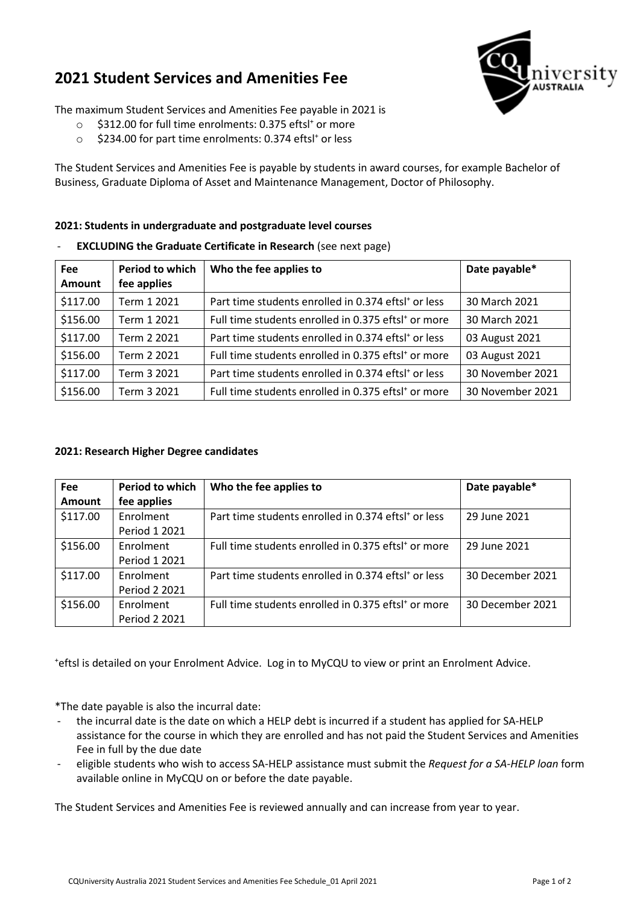## **2021 Student Services and Amenities Fee**



The maximum Student Services and Amenities Fee payable in 2021 is

- $\circ$  \$312.00 for full time enrolments: 0.375 eftsl<sup>+</sup> or more
- \$234.00 for part time enrolments: 0.374 eftsl<sup>+</sup> or less

The Student Services and Amenities Fee is payable by students in award courses, for example Bachelor of Business, Graduate Diploma of Asset and Maintenance Management, Doctor of Philosophy.

## **2021: Students in undergraduate and postgraduate level courses**

- **Fee Amount Period to which fee applies Who the fee applies to Date payable\***  $\frac{1}{2}$  Term 1 2021 Part time students enrolled in 0.374 eftsl<sup>+</sup> or less 30 March 2021  $\text{156.00}$  Term 1 2021 Full time students enrolled in 0.375 eftsl<sup>+</sup> or more 30 March 2021 \$117.00  $\mid$  Term 2 2021  $\mid$  Part time students enrolled in 0.374 eftsl<sup>+</sup> or less  $\mid$  03 August 2021 \$156.00 Term 2 2021 | Full time students enrolled in 0.375 eftsl<sup>+</sup> or more | 03 August 2021  $\frac{1}{2}$  S117.00  $\frac{1}{2}$  Term 3 2021  $\frac{1}{2}$  Part time students enrolled in 0.374 eftsl<sup>+</sup> or less  $\frac{1}{2}$  30 November 2021 \$156.00 Term 3 2021 Full time students enrolled in 0.375 eftsl<sup>+</sup> or more 30 November 2021
- **EXCLUDING the Graduate Certificate in Research** (see next page)

## **2021: Research Higher Degree candidates**

| <b>Fee</b>    | <b>Period to which</b> | Who the fee applies to                                          | Date payable*    |
|---------------|------------------------|-----------------------------------------------------------------|------------------|
| <b>Amount</b> | fee applies            |                                                                 |                  |
| \$117.00      | Enrolment              | Part time students enrolled in 0.374 eftsl <sup>+</sup> or less | 29 June 2021     |
|               | Period 1 2021          |                                                                 |                  |
| \$156.00      | Enrolment              | Full time students enrolled in 0.375 eftsl <sup>+</sup> or more | 29 June 2021     |
|               | Period 1 2021          |                                                                 |                  |
| \$117.00      | Enrolment              | Part time students enrolled in 0.374 eftsl <sup>+</sup> or less | 30 December 2021 |
|               | Period 2 2021          |                                                                 |                  |
| \$156.00      | Enrolment              | Full time students enrolled in 0.375 eftsl <sup>+</sup> or more | 30 December 2021 |
|               | Period 2 2021          |                                                                 |                  |

+ eftsl is detailed on your Enrolment Advice. Log in to MyCQU to view or print an Enrolment Advice.

\*The date payable is also the incurral date:

- the incurral date is the date on which a HELP debt is incurred if a student has applied for SA-HELP assistance for the course in which they are enrolled and has not paid the Student Services and Amenities Fee in full by the due date
- eligible students who wish to access SA-HELP assistance must submit the *Request for a SA-HELP loan* form available online in MyCQU on or before the date payable.

The Student Services and Amenities Fee is reviewed annually and can increase from year to year.